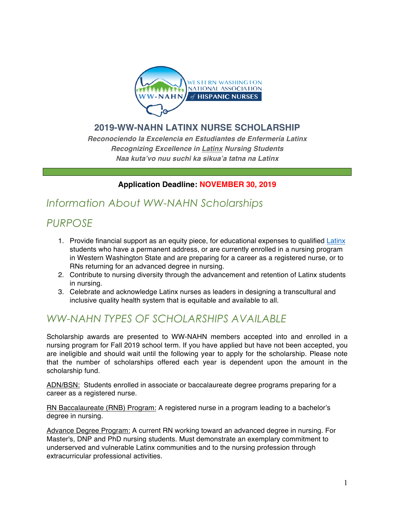

### **2019-WW-NAHN LATINX NURSE SCHOLARSHIP**

*Reconociendo la Excelencia en Estudiantes de Enfermería Latinx Recognizing Excellence in Latinx Nursing Students Naa kuta'vo nuu suchi ka sikua'a tatna na Latinx*

### **Application Deadline: NOVEMBER 30, 2019**

# *Information About WW-NAHN Scholarships*

# *PURPOSE*

- 1. Provide financial support as an equity piece, for educational expenses to qualified Latinx students who have a permanent address, or are currently enrolled in a nursing program in Western Washington State and are preparing for a career as a registered nurse, or to RNs returning for an advanced degree in nursing.
- 2. Contribute to nursing diversity through the advancement and retention of Latinx students in nursing.
- 3. Celebrate and acknowledge Latinx nurses as leaders in designing a transcultural and inclusive quality health system that is equitable and available to all.

# *WW-NAHN TYPES OF SCHOLARSHIPS AVAILABLE*

Scholarship awards are presented to WW-NAHN members accepted into and enrolled in a nursing program for Fall 2019 school term. If you have applied but have not been accepted, you are ineligible and should wait until the following year to apply for the scholarship. Please note that the number of scholarships offered each year is dependent upon the amount in the scholarship fund.

ADN/BSN: Students enrolled in associate or baccalaureate degree programs preparing for a career as a registered nurse.

RN Baccalaureate (RNB) Program: A registered nurse in a program leading to a bachelor's degree in nursing.

Advance Degree Program: A current RN working toward an advanced degree in nursing. For Master's, DNP and PhD nursing students. Must demonstrate an exemplary commitment to underserved and vulnerable Latinx communities and to the nursing profession through extracurricular professional activities.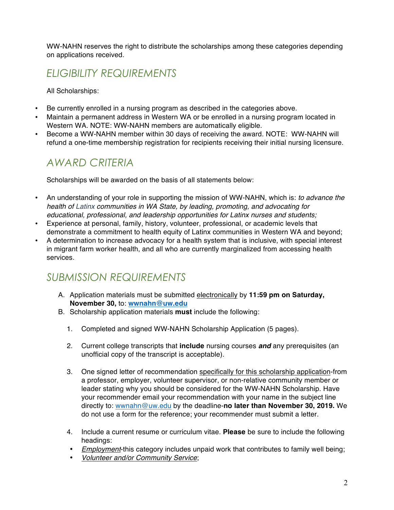WW-NAHN reserves the right to distribute the scholarships among these categories depending on applications received.

# *ELIGIBILITY REQUIREMENTS*

All Scholarships:

- Be currently enrolled in a nursing program as described in the categories above.
- Maintain a permanent address in Western WA or be enrolled in a nursing program located in Western WA. NOTE: WW-NAHN members are automatically eligible.
- Become a WW-NAHN member within 30 days of receiving the award. NOTE: WW-NAHN will refund a one-time membership registration for recipients receiving their initial nursing licensure.

# *AWARD CRITERIA*

Scholarships will be awarded on the basis of all statements below:

- An understanding of your role in supporting the mission of WW-NAHN, which is: *to advance the health of Latinx communities in WA State, by leading, promoting, and advocating for educational, professional, and leadership opportunities for Latinx nurses and students;*
- Experience at personal, family, history, volunteer, professional, or academic levels that demonstrate a commitment to health equity of Latinx communities in Western WA and beyond;
- A determination to increase advocacy for a health system that is inclusive, with special interest in migrant farm worker health, and all who are currently marginalized from accessing health services.

### *SUBMISSION REQUIREMENTS*

- A. Application materials must be submitted electronically by **11:59 pm on Saturday, November 30,** to: **wwnahn@uw.edu**
- B. Scholarship application materials **must** include the following:
	- 1. Completed and signed WW-NAHN Scholarship Application (5 pages).
	- 2. Current college transcripts that **include** nursing courses *and* any prerequisites (an unofficial copy of the transcript is acceptable).
	- 3. One signed letter of recommendation specifically for this scholarship application-from a professor, employer, volunteer supervisor, or non-relative community member or leader stating why you should be considered for the WW-NAHN Scholarship. Have your recommender email your recommendation with your name in the subject line directly to: wwnahn@uw.edu by the deadline-**no later than November 30, 2019.** We do not use a form for the reference; your recommender must submit a letter.
	- 4. Include a current resume or curriculum vitae. **Please** be sure to include the following headings:
	- *Employment*-this category includes unpaid work that contributes to family well being;
	- *Volunteer and/or Community Service*;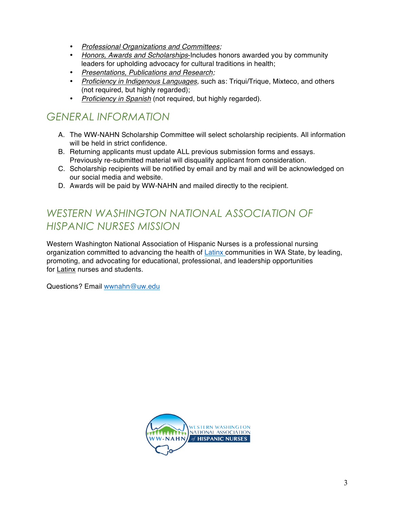- *Professional Organizations and Committees;*
- *Honors, Awards and Scholarships*-Includes honors awarded you by community leaders for upholding advocacy for cultural traditions in health;
- *Presentations, Publications and Research;*
- *Proficiency in Indigenous Languages,* such as: Triqui/Trique, Mixteco, and others (not required, but highly regarded);
- *Proficiency in Spanish* (not required, but highly regarded).

# *GENERAL INFORMATION*

- A. The WW-NAHN Scholarship Committee will select scholarship recipients. All information will be held in strict confidence.
- B. Returning applicants must update ALL previous submission forms and essays. Previously re-submitted material will disqualify applicant from consideration.
- C. Scholarship recipients will be notified by email and by mail and will be acknowledged on our social media and website.
- D. Awards will be paid by WW-NAHN and mailed directly to the recipient.

# *WESTERN WASHINGTON NATIONAL ASSOCIATION OF HISPANIC NURSES MISSION*

Western Washington National Association of Hispanic Nurses is a professional nursing organization committed to advancing the health of Latinx communities in WA State, by leading, promoting, and advocating for educational, professional, and leadership opportunities for Latinx nurses and students.

Questions? Email wwnahn@uw.edu

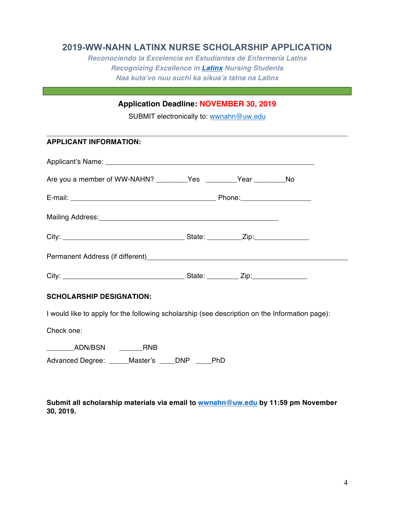### **2019-WW-NAHN LATINX NURSE SCHOLARSHIP APPLICATION**

*Reconociendo la Excelencia en Estudiantes de Enfermería Latinx Recognizing Excellence in Latinx Nursing Students Naa kuta'vo nuu suchi ka sikua'a tatna na Latinx*

### **Application Deadline: NOVEMBER 30, 2019**

SUBMIT electronically to: wwnahn@uw.edu

#### **APPLICANT INFORMATION:**

| Are you a member of WW-NAHN? _________Yes ________Year ________No                                              |  |  |  |  |
|----------------------------------------------------------------------------------------------------------------|--|--|--|--|
|                                                                                                                |  |  |  |  |
| Mailing Address: Mailing Address: Mailing Address: Mailing Address: Mailing Address: Mailing Address: Mail 199 |  |  |  |  |
|                                                                                                                |  |  |  |  |
|                                                                                                                |  |  |  |  |
|                                                                                                                |  |  |  |  |

#### **SCHOLARSHIP DESIGNATION:**

I would like to apply for the following scholarship (see description on the Information page):

Check one:

\_\_\_\_\_\_\_ADN/BSN \_\_\_\_\_\_RNB

Advanced Degree: \_\_\_\_\_Master's \_\_\_\_DNP \_\_\_\_PhD

**Submit all scholarship materials via email to wwnahn@uw.edu by 11:59 pm November 30, 2019.**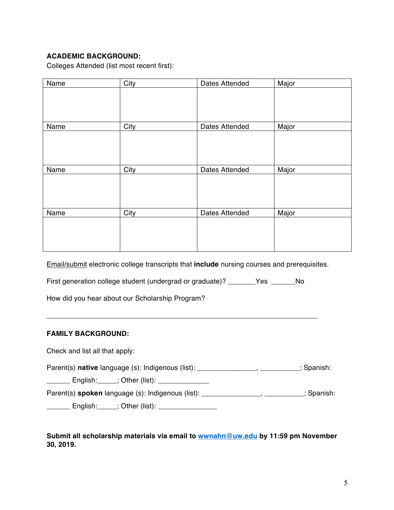#### **ACADEMIC BACKGROUND:**

Colleges Attended (list most recent first):

| Name | City | Dates Attended | Major |
|------|------|----------------|-------|
|      |      |                |       |
|      |      |                |       |
|      |      |                |       |
| Name | City | Dates Attended | Major |
|      |      |                |       |
|      |      |                |       |
|      |      |                |       |
|      |      |                |       |
|      |      |                |       |
| Name | City | Dates Attended | Major |
|      |      |                |       |
|      |      |                |       |
|      |      |                |       |
|      |      |                |       |
| Name | City | Dates Attended | Major |
|      |      |                |       |
|      |      |                |       |
|      |      |                |       |
|      |      |                |       |

Email/submit electronic college transcripts that **include** nursing courses and prerequisites.

First generation college student (undergrad or graduate)? \_\_\_\_\_\_\_Yes \_\_\_\_\_\_No

How did you hear about our Scholarship Program?

#### **FAMILY BACKGROUND:**

Check and list all that apply:

Parent(s) **native** language (s): Indigenous (list): \_\_\_\_\_\_\_\_\_\_\_\_\_\_\_\_, \_\_\_\_\_\_\_\_\_; Spanish:

\_\_\_\_\_\_ English:\_\_\_\_\_; Other (list): \_\_\_\_\_\_\_\_\_\_\_\_\_

Parent(s) **spoken** language (s): Indigenous (list): \_\_\_\_\_\_\_\_\_\_\_\_\_\_\_, \_\_\_\_\_\_\_\_\_\_; Spanish:

\_\_\_\_\_\_\_ English:\_\_\_\_\_; Other (list): \_\_\_\_\_\_\_\_\_\_\_\_\_\_\_\_\_\_

#### **Submit all scholarship materials via email to wwnahn@uw.edu by 11:59 pm November 30, 2019.**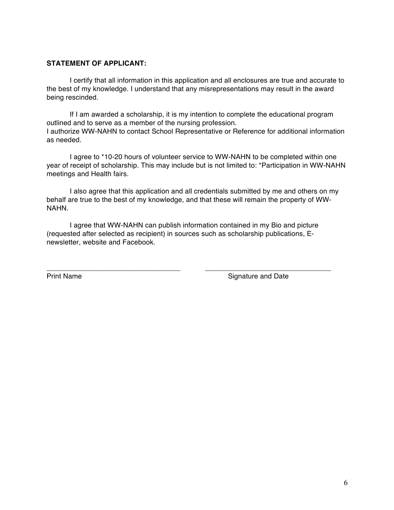#### **STATEMENT OF APPLICANT:**

I certify that all information in this application and all enclosures are true and accurate to the best of my knowledge. I understand that any misrepresentations may result in the award being rescinded.

If I am awarded a scholarship, it is my intention to complete the educational program outlined and to serve as a member of the nursing profession. I authorize WW-NAHN to contact School Representative or Reference for additional information as needed.

I agree to \*10-20 hours of volunteer service to WW-NAHN to be completed within one year of receipt of scholarship. This may include but is not limited to: \*Participation in WW-NAHN meetings and Health fairs.

I also agree that this application and all credentials submitted by me and others on my behalf are true to the best of my knowledge, and that these will remain the property of WW-NAHN.

I agree that WW-NAHN can publish information contained in my Bio and picture (requested after selected as recipient) in sources such as scholarship publications, Enewsletter, website and Facebook.

\_\_\_\_\_\_\_\_\_\_\_\_\_\_\_\_\_\_\_\_\_\_\_\_\_\_\_\_\_\_\_\_\_\_ \_\_\_\_\_\_\_\_\_\_\_\_\_\_\_\_\_\_\_\_\_\_\_\_\_\_\_\_\_\_\_\_

Print Name Signature and Date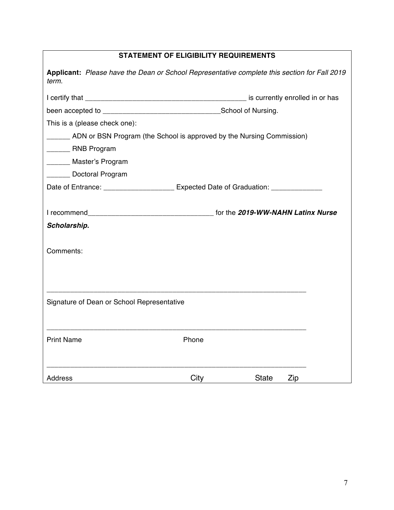| <b>STATEMENT OF ELIGIBILITY REQUIREMENTS</b>                                                          |       |              |     |  |  |
|-------------------------------------------------------------------------------------------------------|-------|--------------|-----|--|--|
| Applicant: Please have the Dean or School Representative complete this section for Fall 2019<br>term. |       |              |     |  |  |
|                                                                                                       |       |              |     |  |  |
|                                                                                                       |       |              |     |  |  |
| This is a (please check one):                                                                         |       |              |     |  |  |
| ______ ADN or BSN Program (the School is approved by the Nursing Commission)                          |       |              |     |  |  |
| _______ RNB Program                                                                                   |       |              |     |  |  |
| _______ Master's Program                                                                              |       |              |     |  |  |
| ______ Doctoral Program                                                                               |       |              |     |  |  |
| Date of Entrance: _____________________ Expected Date of Graduation: ___________                      |       |              |     |  |  |
|                                                                                                       |       |              |     |  |  |
|                                                                                                       |       |              |     |  |  |
| Scholarship.                                                                                          |       |              |     |  |  |
|                                                                                                       |       |              |     |  |  |
| Comments:                                                                                             |       |              |     |  |  |
|                                                                                                       |       |              |     |  |  |
|                                                                                                       |       |              |     |  |  |
|                                                                                                       |       |              |     |  |  |
| Signature of Dean or School Representative                                                            |       |              |     |  |  |
|                                                                                                       |       |              |     |  |  |
|                                                                                                       |       |              |     |  |  |
| <b>Print Name</b>                                                                                     | Phone |              |     |  |  |
|                                                                                                       |       |              |     |  |  |
| <b>Address</b>                                                                                        | City  | <b>State</b> | Zip |  |  |